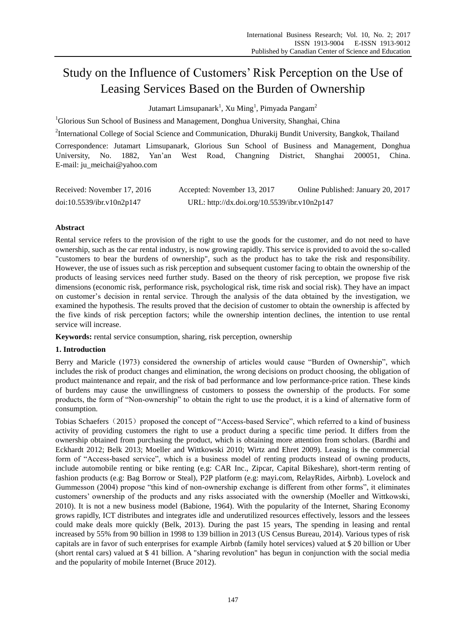# Study on the Influence of Customers' Risk Perception on the Use of Leasing Services Based on the Burden of Ownership

Jutamart Limsupanark $^1$ , Xu Ming $^1$ , Pimyada Pangam $^2$ 

<sup>1</sup>Glorious Sun School of Business and Management, Donghua University, Shanghai, China

<sup>2</sup>International College of Social Science and Communication, Dhurakij Bundit University, Bangkok, Thailand

Correspondence: Jutamart Limsupanark, Glorious Sun School of Business and Management, Donghua University, No. 1882, Yan'an West Road, Changning District, Shanghai 200051, China. E-mail: ju\_meichai@yahoo.com

| Received: November 17, 2016 | Accepted: November 13, 2017                  | Online Published: January 20, 2017 |
|-----------------------------|----------------------------------------------|------------------------------------|
| doi:10.5539/ibr.v10n2p147   | URL: http://dx.doi.org/10.5539/ibr.v10n2p147 |                                    |

# **Abstract**

Rental service refers to the provision of the right to use the goods for the customer, and do not need to have ownership, such as the car rental industry, is now growing rapidly. This service is provided to avoid the so-called "customers to bear the burdens of ownership", such as the product has to take the risk and responsibility. However, the use of issues such as risk perception and subsequent customer facing to obtain the ownership of the products of leasing services need further study. Based on the theory of risk perception, we propose five risk dimensions (economic risk, performance risk, psychological risk, time risk and social risk). They have an impact on customer's decision in rental service. Through the analysis of the data obtained by the investigation, we examined the hypothesis. The results proved that the decision of customer to obtain the ownership is affected by the five kinds of risk perception factors; while the ownership intention declines, the intention to use rental service will increase.

**Keywords:** rental service consumption, sharing, risk perception, ownership

# **1. Introduction**

Berry and Maricle (1973) considered the ownership of articles would cause "Burden of Ownership", which includes the risk of product changes and elimination, the wrong decisions on product choosing, the obligation of product maintenance and repair, and the risk of bad performance and low performance-price ration. These kinds of burdens may cause the unwillingness of customers to possess the ownership of the products. For some products, the form of "Non-ownership" to obtain the right to use the product, it is a kind of alternative form of consumption.

Tobias Schaefers (2015) proposed the concept of "Access-based Service", which referred to a kind of business activity of providing customers the right to use a product during a specific time period. It differs from the ownership obtained from purchasing the product, which is obtaining more attention from scholars. (Bardhi and Eckhardt 2012; Belk 2013; Moeller and Wittkowski 2010; Wirtz and Ehret 2009). Leasing is the commercial form of "Access-based service", which is a business model of renting products instead of owning products, include automobile renting or bike renting (e.g: CAR Inc., Zipcar, Capital Bikeshare), short-term renting of fashion products (e.g: Bag Borrow or Steal), P2P platform (e.g: mayi.com, RelayRides, Airbnb). Lovelock and Gummesson (2004) propose "this kind of non-ownership exchange is different from other forms", it eliminates customers' ownership of the products and any risks associated with the ownership (Moeller and Wittkowski, 2010). It is not a new business model (Babione, 1964). With the popularity of the Internet, Sharing Economy grows rapidly, ICT distributes and integrates idle and underutilized resources effectively, lessors and the lessees could make deals more quickly (Belk, 2013). During the past 15 years, The spending in leasing and rental increased by 55% from 90 billion in 1998 to 139 billion in 2013 (US Census Bureau, 2014). Various types of risk capitals are in favor of such enterprises for example Airbnb (family hotel services) valued at \$ 20 billion or Uber (short rental cars) valued at \$ 41 billion. A "sharing revolution" has begun in conjunction with the social media and the popularity of mobile Internet (Bruce 2012).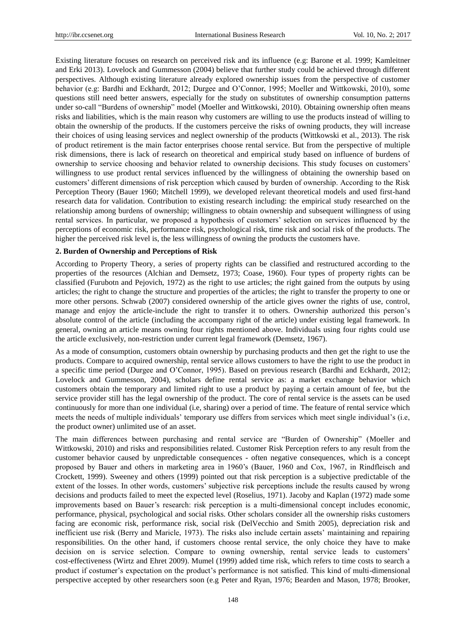Existing literature focuses on research on perceived risk and its influence (e.g: Barone et al. 1999; Kamleitner and Erki 2013). Lovelock and Gummesson (2004) believe that further study could be achieved through different perspectives. Although existing literature already explored ownership issues from the perspective of customer behavior (e.g: Bardhi and Eckhardt, 2012; Durgee and O'Connor, 1995; Moeller and Wittkowski, 2010), some questions still need better answers, especially for the study on substitutes of ownership consumption patterns under so-call "Burdens of ownership" model (Moeller and Wittkowski, 2010). Obtaining ownership often means risks and liabilities, which is the main reason why customers are willing to use the products instead of willing to obtain the ownership of the products. If the customers perceive the risks of owning products, they will increase their choices of using leasing services and neglect ownership of the products (Wittkowski et al., 2013). The risk of product retirement is the main factor enterprises choose rental service. But from the perspective of multiple risk dimensions, there is lack of research on theoretical and empirical study based on influence of burdens of ownership to service choosing and behavior related to ownership decisions. This study focuses on customers' willingness to use product rental services influenced by the willingness of obtaining the ownership based on customers' different dimensions of risk perception which caused by burden of ownership. According to the Risk Perception Theory (Bauer 1960; Mitchell 1999), we developed relevant theoretical models and used first-hand research data for validation. Contribution to existing research including: the empirical study researched on the relationship among burdens of ownership; willingness to obtain ownership and subsequent willingness of using rental services. In particular, we proposed a hypothesis of customers' selection on services influenced by the perceptions of economic risk, performance risk, psychological risk, time risk and social risk of the products. The higher the perceived risk level is, the less willingness of owning the products the customers have.

#### **2. Burden of Ownership and Perceptions of Risk**

According to Property Theory, a series of property rights can be classified and restructured according to the properties of the resources (Alchian and Demsetz, 1973; Coase, 1960). Four types of property rights can be classified (Furubotn and Pejovich, 1972) as the right to use articles; the right gained from the outputs by using articles; the right to change the structure and properties of the articles; the right to transfer the property to one or more other persons. Schwab (2007) considered ownership of the article gives owner the rights of use, control, manage and enjoy the article-include the right to transfer it to others. Ownership authorized this person's absolute control of the article (including the accompany right of the article) under existing legal framework. In general, owning an article means owning four rights mentioned above. Individuals using four rights could use the article exclusively, non-restriction under current legal framework (Demsetz, 1967).

As a mode of consumption, customers obtain ownership by purchasing products and then get the right to use the products. Compare to acquired ownership, rental service allows customers to have the right to use the product in a specific time period (Durgee and O'Connor, 1995). Based on previous research (Bardhi and Eckhardt, 2012; Lovelock and Gummesson, 2004), scholars define rental service as: a market exchange behavior which customers obtain the temporary and limited right to use a product by paying a certain amount of fee, but the service provider still has the legal ownership of the product. The core of rental service is the assets can be used continuously for more than one individual (i.e, sharing) over a period of time. The feature of rental service which meets the needs of multiple individuals' temporary use differs from services which meet single individual's (i.e, the product owner) unlimited use of an asset.

The main differences between purchasing and rental service are "Burden of Ownership" (Moeller and Wittkowski, 2010) and risks and responsibilities related. Customer Risk Perception refers to any result from the customer behavior caused by unpredictable consequences - often negative consequences, which is a concept proposed by Bauer and others in marketing area in 1960's (Bauer, 1960 and Cox, 1967, in Rindfleisch and Crockett, 1999). Sweeney and others (1999) pointed out that risk perception is a subjective predictable of the extent of the losses. In other words, customers' subjective risk perceptions include the results caused by wrong decisions and products failed to meet the expected level (Roselius, 1971). Jacoby and Kaplan (1972) made some improvements based on Bauer's research: risk perception is a multi-dimensional concept includes economic, performance, physical, psychological and social risks. Other scholars consider all the ownership risks customers facing are economic risk, performance risk, social risk (DelVecchio and Smith 2005), depreciation risk and inefficient use risk (Berry and Maricle, 1973). The risks also include certain assets' maintaining and repairing responsibilities. On the other hand, if customers choose rental service, the only choice they have to make decision on is service selection. Compare to owning ownership, rental service leads to customers' cost-effectiveness (Wirtz and Ehret 2009). Mumel (1999) added time risk, which refers to time costs to search a product if costumer's expectation on the product's performance is not satisfied. This kind of multi-dimensional perspective accepted by other researchers soon (e.g Peter and Ryan, 1976; Bearden and Mason, 1978; Brooker,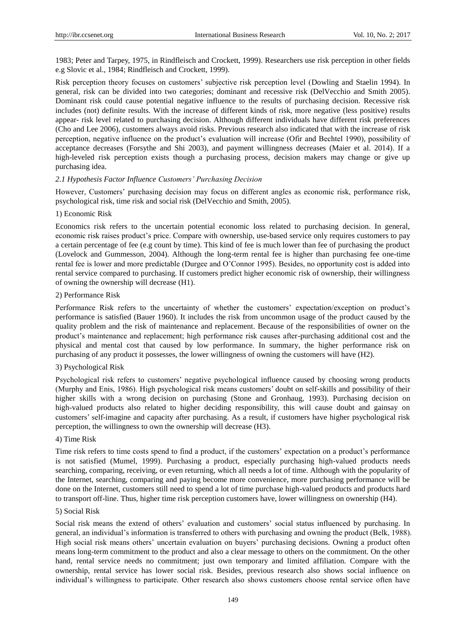1983; Peter and Tarpey, 1975, in Rindfleisch and Crockett, 1999). Researchers use risk perception in other fields e.g Slovic et al., 1984; Rindfleisch and Crockett, 1999).

Risk perception theory focuses on customers' subjective risk perception level (Dowling and Staelin 1994). In general, risk can be divided into two categories; dominant and recessive risk (DelVecchio and Smith 2005). Dominant risk could cause potential negative influence to the results of purchasing decision. Recessive risk includes (not) definite results. With the increase of different kinds of risk, more negative (less positive) results appear- risk level related to purchasing decision. Although different individuals have different risk preferences (Cho and Lee 2006), customers always avoid risks. Previous research also indicated that with the increase of risk perception, negative influence on the product's evaluation will increase (Ofir and Bechtel 1990), possibility of acceptance decreases (Forsythe and Shi 2003), and payment willingness decreases (Maier et al. 2014). If a high-leveled risk perception exists though a purchasing process, decision makers may change or give up purchasing idea.

# *2.1 Hypothesis Factor Influence Customers' Purchasing Decision*

However, Customers' purchasing decision may focus on different angles as economic risk, performance risk, psychological risk, time risk and social risk (DelVecchio and Smith, 2005).

# 1) Economic Risk

Economics risk refers to the uncertain potential economic loss related to purchasing decision. In general, economic risk raises product's price. Compare with ownership, use-based service only requires customers to pay a certain percentage of fee (e.g count by time). This kind of fee is much lower than fee of purchasing the product (Lovelock and Gummesson, 2004). Although the long-term rental fee is higher than purchasing fee one-time rental fee is lower and more predictable (Durgee and O'Connor 1995). Besides, no opportunity cost is added into rental service compared to purchasing. If customers predict higher economic risk of ownership, their willingness of owning the ownership will decrease (H1).

# 2) Performance Risk

Performance Risk refers to the uncertainty of whether the customers' expectation/exception on product's performance is satisfied (Bauer 1960). It includes the risk from uncommon usage of the product caused by the quality problem and the risk of maintenance and replacement. Because of the responsibilities of owner on the product's maintenance and replacement; high performance risk causes after-purchasing additional cost and the physical and mental cost that caused by low performance. In summary, the higher performance risk on purchasing of any product it possesses, the lower willingness of owning the customers will have (H2).

# 3) Psychological Risk

Psychological risk refers to customers' negative psychological influence caused by choosing wrong products (Murphy and Enis, 1986). High psychological risk means customers' doubt on self-skills and possibility of their higher skills with a wrong decision on purchasing (Stone and Gronhaug, 1993). Purchasing decision on high-valued products also related to higher deciding responsibility, this will cause doubt and gainsay on customers' self-imagine and capacity after purchasing. As a result, if customers have higher psychological risk perception, the willingness to own the ownership will decrease (H3).

# 4) Time Risk

Time risk refers to time costs spend to find a product, if the customers' expectation on a product's performance is not satisfied (Mumel, 1999). Purchasing a product, especially purchasing high-valued products needs searching, comparing, receiving, or even returning, which all needs a lot of time. Although with the popularity of the Internet, searching, comparing and paying become more convenience, more purchasing performance will be done on the Internet, customers still need to spend a lot of time purchase high-valued products and products hard to transport off-line. Thus, higher time risk perception customers have, lower willingness on ownership (H4).

#### 5) Social Risk

Social risk means the extend of others' evaluation and customers' social status influenced by purchasing. In general, an individual's information is transferred to others with purchasing and owning the product (Belk, 1988). High social risk means others' uncertain evaluation on buyers' purchasing decisions. Owning a product often means long-term commitment to the product and also a clear message to others on the commitment. On the other hand, rental service needs no commitment; just own temporary and limited affiliation. Compare with the ownership, rental service has lower social risk. Besides, previous research also shows social influence on individual's willingness to participate. Other research also shows customers choose rental service often have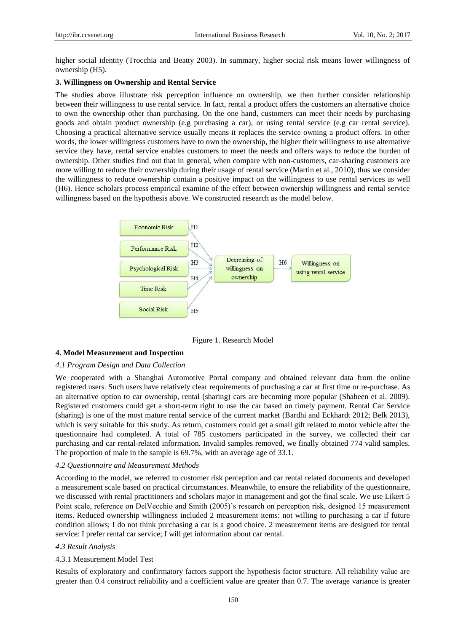higher social identity (Trocchia and Beatty 2003). In summary, higher social risk means lower willingness of ownership (H5).

#### **3. Willingness on Ownership and Rental Service**

The studies above illustrate risk perception influence on ownership, we then further consider relationship between their willingness to use rental service. In fact, rental a product offers the customers an alternative choice to own the ownership other than purchasing. On the one hand, customers can meet their needs by purchasing goods and obtain product ownership (e.g purchasing a car), or using rental service (e.g car rental service). Choosing a practical alternative service usually means it replaces the service owning a product offers. In other words, the lower willingness customers have to own the ownership, the higher their willingness to use alternative service they have, rental service enables customers to meet the needs and offers ways to reduce the burden of ownership. Other studies find out that in general, when compare with non-customers, car-sharing customers are more willing to reduce their ownership during their usage of rental service (Martin et al., 2010), thus we consider the willingness to reduce ownership contain a positive impact on the willingness to use rental services as well (H6). Hence scholars process empirical examine of the effect between ownership willingness and rental service willingness based on the hypothesis above. We constructed research as the model below.



Figure 1. Research Model

#### **4. Model Measurement and Inspection**

#### *4.1 Program Design and Data Collection*

We cooperated with a Shanghai Automotive Portal company and obtained relevant data from the online registered users. Such users have relatively clear requirements of purchasing a car at first time or re-purchase. As an alternative option to car ownership, rental (sharing) cars are becoming more popular (Shaheen et al. 2009). Registered customers could get a short-term right to use the car based on timely payment. Rental Car Service (sharing) is one of the most mature rental service of the current market (Bardhi and Eckhardt 2012; Belk 2013), which is very suitable for this study. As return, customers could get a small gift related to motor vehicle after the questionnaire had completed. A total of 785 customers participated in the survey, we collected their car purchasing and car rental-related information. Invalid samples removed, we finally obtained 774 valid samples. The proportion of male in the sample is 69.7%, with an average age of 33.1.

# *4.2 Questionnaire and Measurement Methods*

According to the model, we referred to customer risk perception and car rental related documents and developed a measurement scale based on practical circumstances. Meanwhile, to ensure the reliability of the questionnaire, we discussed with rental practitioners and scholars major in management and got the final scale. We use Likert 5 Point scale, reference on DelVecchio and Smith (2005)'s research on perception risk, designed 15 measurement items. Reduced ownership willingness included 2 measurement items: not willing to purchasing a car if future condition allows; I do not think purchasing a car is a good choice. 2 measurement items are designed for rental service: I prefer rental car service; I will get information about car rental.

# *4.3 Result Analysis*

# 4.3.1 Measurement Model Test

Results of exploratory and confirmatory factors support the hypothesis factor structure. All reliability value are greater than 0.4 construct reliability and a coefficient value are greater than 0.7. The average variance is greater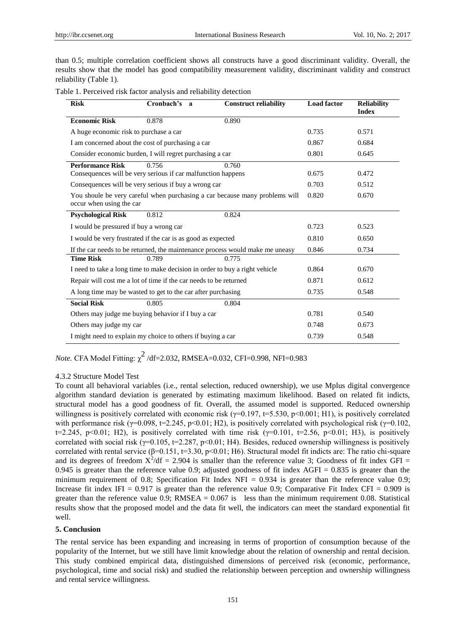than 0.5; multiple correlation coefficient shows all constructs have a good discriminant validity. Overall, the results show that the model has good compatibility measurement validity, discriminant validity and construct reliability (Table 1).

| <b>Risk</b>                                                                                             | Cronbach's a                                                          | <b>Construct reliability</b> | <b>Load factor</b> | <b>Reliability</b><br><b>Index</b> |
|---------------------------------------------------------------------------------------------------------|-----------------------------------------------------------------------|------------------------------|--------------------|------------------------------------|
| <b>Economic Risk</b>                                                                                    | 0.878                                                                 | 0.890                        |                    |                                    |
| A huge economic risk to purchase a car                                                                  | 0.735                                                                 | 0.571                        |                    |                                    |
| I am concerned about the cost of purchasing a car                                                       |                                                                       |                              | 0.867              | 0.684                              |
| Consider economic burden, I will regret purchasing a car                                                |                                                                       |                              | 0.801              | 0.645                              |
| <b>Performance Risk</b>                                                                                 | 0.756<br>Consequences will be very serious if car malfunction happens | 0.760                        | 0.675              | 0.472                              |
| Consequences will be very serious if buy a wrong car                                                    |                                                                       |                              | 0.703              | 0.512                              |
| You shoule be very careful when purchasing a car because many problems will<br>occur when using the car |                                                                       |                              | 0.820              | 0.670                              |
| <b>Psychological Risk</b>                                                                               | 0.812                                                                 | 0.824                        |                    |                                    |
| I would be pressured if buy a wrong car                                                                 | 0.723                                                                 | 0.523                        |                    |                                    |
| I would be very frustrated if the car is as good as expected                                            |                                                                       |                              | 0.810              | 0.650                              |
| If the car needs to be returned, the maintenance process would make me uneasy                           |                                                                       |                              | 0.846              | 0.734                              |
| <b>Time Risk</b>                                                                                        | 0.789                                                                 | 0.775                        |                    |                                    |
| I need to take a long time to make decision in order to buy a right vehicle                             | 0.864                                                                 | 0.670                        |                    |                                    |
| Repair will cost me a lot of time if the car needs to be returned                                       | 0.871                                                                 | 0.612                        |                    |                                    |
| A long time may be wasted to get to the car after purchasing                                            | 0.735                                                                 | 0.548                        |                    |                                    |
| <b>Social Risk</b>                                                                                      | 0.805                                                                 | 0.804                        |                    |                                    |
| Others may judge me buying behavior if I buy a car                                                      |                                                                       |                              | 0.781              | 0.540                              |
| Others may judge my car                                                                                 |                                                                       |                              | 0.748              | 0.673                              |
| I might need to explain my choice to others if buying a car                                             |                                                                       |                              | 0.739              | 0.548                              |

*Note.* CFA Model Fitting:  $\chi^2$  /df=2.032, RMSEA=0.032, CFI=0.998, NFI=0.983

#### 4.3.2 Structure Model Test

To count all behavioral variables (i.e., rental selection, reduced ownership), we use Mplus digital convergence algorithm standard deviation is generated by estimating maximum likelihood. Based on related fit indicts, structural model has a good goodness of fit. Overall, the assumed model is supported. Reduced ownership willingness is positively correlated with economic risk ( $\gamma$ =0.197, t=5.530, p<0.001; H1), is positively correlated with performance risk ( $\gamma$ =0.098, t=2.245, p<0.01; H2), is positively correlated with psychological risk ( $\gamma$ =0.102, t=2.245, p<0.01; H2), is positively correlated with time risk ( $\gamma$ =0.101, t=2.56, p<0.01; H3), is positively correlated with social risk ( $\gamma$ =0.105, t=2.287, p<0.01; H4). Besides, reduced ownership willingness is positively correlated with rental service  $(\beta=0.151, t=3.30, p<0.01; H6)$ . Structural model fit indicts are: The ratio chi-square and its degrees of freedom  $X^2/df = 2.904$  is smaller than the reference value 3; Goodness of fit index GFI = 0.945 is greater than the reference value 0.9; adjusted goodness of fit index  $AGFI = 0.835$  is greater than the minimum requirement of 0.8; Specification Fit Index NFI =  $0.934$  is greater than the reference value 0.9; Increase fit index IFI =  $0.917$  is greater than the reference value 0.9; Comparative Fit Index CFI = 0.909 is greater than the reference value  $0.9$ ; RMSEA =  $0.067$  is less than the minimum requirement 0.08. Statistical results show that the proposed model and the data fit well, the indicators can meet the standard exponential fit well.

#### **5. Conclusion**

The rental service has been expanding and increasing in terms of proportion of consumption because of the popularity of the Internet, but we still have limit knowledge about the relation of ownership and rental decision. This study combined empirical data, distinguished dimensions of perceived risk (economic, performance, psychological, time and social risk) and studied the relationship between perception and ownership willingness and rental service willingness.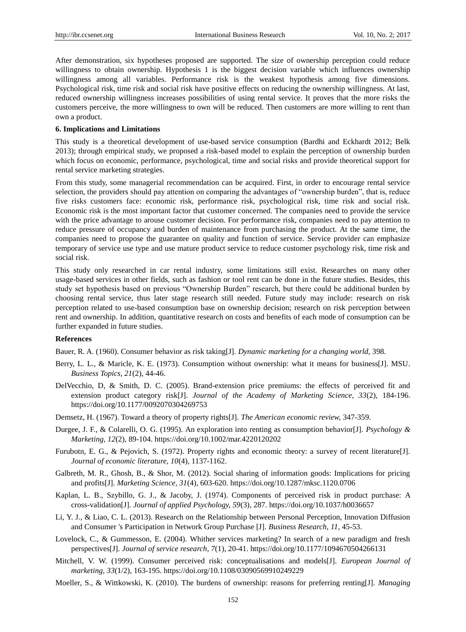After demonstration, six hypotheses proposed are supported. The size of ownership perception could reduce willingness to obtain ownership. Hypothesis 1 is the biggest decision variable which influences ownership willingness among all variables. Performance risk is the weakest hypothesis among five dimensions. Psychological risk, time risk and social risk have positive effects on reducing the ownership willingness. At last, reduced ownership willingness increases possibilities of using rental service. It proves that the more risks the customers perceive, the more willingness to own will be reduced. Then customers are more willing to rent than own a product.

#### **6. Implications and Limitations**

This study is a theoretical development of use-based service consumption (Bardhi and Eckhardt 2012; Belk 2013); through empirical study, we proposed a risk-based model to explain the perception of ownership burden which focus on economic, performance, psychological, time and social risks and provide theoretical support for rental service marketing strategies.

From this study, some managerial recommendation can be acquired. First, in order to encourage rental service selection, the providers should pay attention on comparing the advantages of "ownership burden", that is, reduce five risks customers face: economic risk, performance risk, psychological risk, time risk and social risk. Economic risk is the most important factor that customer concerned. The companies need to provide the service with the price advantage to arouse customer decision. For performance risk, companies need to pay attention to reduce pressure of occupancy and burden of maintenance from purchasing the product. At the same time, the companies need to propose the guarantee on quality and function of service. Service provider can emphasize temporary of service use type and use mature product service to reduce customer psychology risk, time risk and social risk.

This study only researched in car rental industry, some limitations still exist. Researches on many other usage-based services in other fields, such as fashion or tool rent can be done in the future studies. Besides, this study set hypothesis based on previous "Ownership Burden" research, but there could be additional burden by choosing rental service, thus later stage research still needed. Future study may include: research on risk perception related to use-based consumption base on ownership decision; research on risk perception between rent and ownership. In addition, quantitative research on costs and benefits of each mode of consumption can be further expanded in future studies.

#### **References**

Bauer, R. A. (1960). Consumer behavior as risk taking[J]. *Dynamic marketing for a changing world,* 398.

- Berry, L. L., & Maricle, K. E. (1973). Consumption without ownership: what it means for business[J]. MSU. *Business Topics, 21*(2), 44-46.
- DelVecchio, D, & Smith, D. C. (2005). Brand-extension price premiums: the effects of perceived fit and extension product category risk[J]. *Journal of the Academy of Marketing Science, 33*(2), 184-196. <https://doi.org/10.1177/0092070304269753>
- Demsetz, H. (1967). Toward a theory of property rights[J]. *The American economic review,* 347-359.
- Durgee, J. F., & Colarelli, O. G. (1995). An exploration into renting as consumption behavior[J]. *Psychology & Marketing, 12*(2), 89-104. <https://doi.org/10.1002/mar.4220120202>
- Furubotn, E. G., & Pejovich, S. (1972). Property rights and economic theory: a survey of recent literature[J]. *Journal of economic literature, 10*(4), 1137-1162.
- Galbreth, M. R., Ghosh, B., & Shor, M. (2012). Social sharing of information goods: Implications for pricing and profits[J]. *Marketing Science, 31*(4), 603-620. <https://doi.org/10.1287/mksc.1120.0706>
- Kaplan, L. B., Szybillo, G. J., & Jacoby, J. (1974). Components of perceived risk in product purchase: A cross-validation[J]. *Journal of applied Psychology, 59*(3), 287. <https://doi.org/10.1037/h0036657>
- Li, Y. J., & Liao, C. L. (2013). Research on the Relationship between Personal Perception, Innovation Diffusion and Consumer 's Participation in Network Group Purchase [J]. *Business Research, 11,* 45-53.
- Lovelock, C., & Gummesson, E. (2004). Whither services marketing? In search of a new paradigm and fresh perspectives[J]. *Journal of service research, 7*(1), 20-41. <https://doi.org/10.1177/1094670504266131>
- Mitchell, V. W. (1999). Consumer perceived risk: conceptualisations and models[J]. *European Journal of marketing, 33*(1/2), 163-195. <https://doi.org/10.1108/03090569910249229>
- Moeller, S., & Wittkowski, K. (2010). The burdens of ownership: reasons for preferring renting[J]. *Managing*